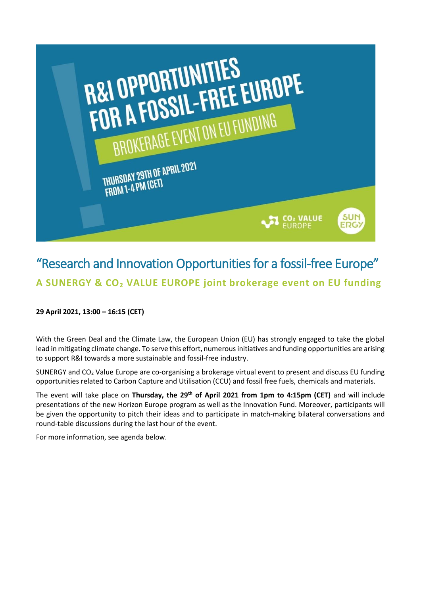

## "Research and Innovation Opportunities for a fossil-free Europe" **A SUNERGY & CO<sup>2</sup> VALUE EUROPE joint brokerage event on EU funding**

## **29 April 2021, 13:00 – 16:15 (CET)**

With the Green Deal and the Climate Law, the European Union (EU) has strongly engaged to take the global lead in mitigating climate change. To serve this effort, numerous initiatives and funding opportunities are arising to support R&I towards a more sustainable and fossil-free industry.

SUNERGY and CO<sup>2</sup> Value Europe are co-organising a brokerage virtual event to present and discuss EU funding opportunities related to Carbon Capture and Utilisation (CCU) and fossil free fuels, chemicals and materials.

The event will take place on **Thursday, the 29th of April 2021 from 1pm to 4:15pm (CET)** and will include presentations of the new Horizon Europe program as well as the Innovation Fund. Moreover, participants will be given the opportunity to pitch their ideas and to participate in match-making bilateral conversations and round-table discussions during the last hour of the event.

For more information, see agenda below.